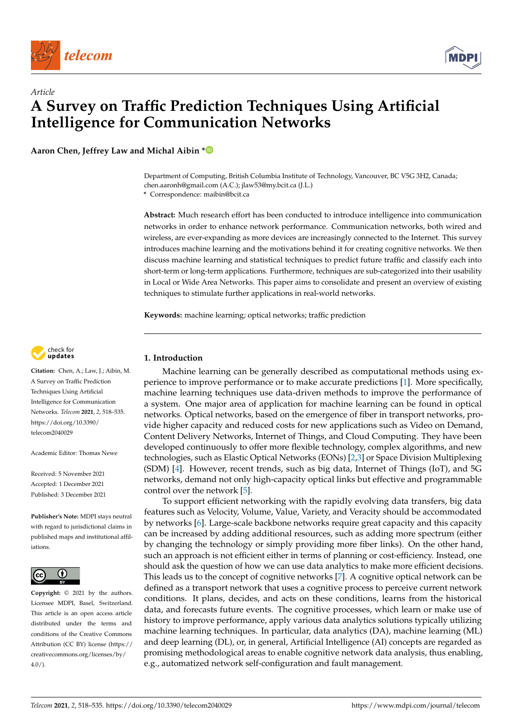

*Article*



# **A Survey on Traffic Prediction Techniques Using Artificial Intelligence for Communication Networks**

**Aaron Chen, Jeffrey Law and Michal Aibin [\\*](https://orcid.org/0000-0001-9800-834X)**

Department of Computing, British Columbia Institute of Technology, Vancouver, BC V5G 3H2, Canada; chen.aaronh@gmail.com (A.C.); jlaw53@my.bcit.ca (J.L.)

**\*** Correspondence: maibin@bcit.ca

**Abstract:** Much research effort has been conducted to introduce intelligence into communication networks in order to enhance network performance. Communication networks, both wired and wireless, are ever-expanding as more devices are increasingly connected to the Internet. This survey introduces machine learning and the motivations behind it for creating cognitive networks. We then discuss machine learning and statistical techniques to predict future traffic and classify each into short-term or long-term applications. Furthermore, techniques are sub-categorized into their usability in Local or Wide Area Networks. This paper aims to consolidate and present an overview of existing techniques to stimulate further applications in real-world networks.

**Keywords:** machine learning; optical networks; traffic prediction



**Citation:** Chen, A.; Law, J.; Aibin, M. A Survey on Traffic Prediction Techniques Using Artificial Intelligence for Communication Networks. *Telecom* **2021**, *2*, 518–535. [https://doi.org/10.3390/](https://doi.org/10.3390/telecom2040029) [telecom2040029](https://doi.org/10.3390/telecom2040029)

Academic Editor: Thomas Newe

Received: 5 November 2021 Accepted: 1 December 2021 Published: 3 December 2021

**Publisher's Note:** MDPI stays neutral with regard to jurisdictional claims in published maps and institutional affiliations.



**Copyright:** © 2021 by the authors. Licensee MDPI, Basel, Switzerland. This article is an open access article distributed under the terms and conditions of the Creative Commons Attribution (CC BY) license (https:/[/](https://creativecommons.org/licenses/by/4.0/) [creativecommons.org/licenses/by/](https://creativecommons.org/licenses/by/4.0/)  $4.0/$ ).

# **1. Introduction**

Machine learning can be generally described as computational methods using experience to improve performance or to make accurate predictions [\[1\]](#page-15-0). More specifically, machine learning techniques use data-driven methods to improve the performance of a system. One major area of application for machine learning can be found in optical networks. Optical networks, based on the emergence of fiber in transport networks, provide higher capacity and reduced costs for new applications such as Video on Demand, Content Delivery Networks, Internet of Things, and Cloud Computing. They have been developed continuously to offer more flexible technology, complex algorithms, and new technologies, such as Elastic Optical Networks (EONs) [\[2](#page-15-1)[,3\]](#page-15-2) or Space Division Multiplexing (SDM) [\[4\]](#page-15-3). However, recent trends, such as big data, Internet of Things (IoT), and 5G networks, demand not only high-capacity optical links but effective and programmable control over the network [\[5\]](#page-15-4).

To support efficient networking with the rapidly evolving data transfers, big data features such as Velocity, Volume, Value, Variety, and Veracity should be accommodated by networks [\[6\]](#page-15-5). Large-scale backbone networks require great capacity and this capacity can be increased by adding additional resources, such as adding more spectrum (either by changing the technology or simply providing more fiber links). On the other hand, such an approach is not efficient either in terms of planning or cost-efficiency. Instead, one should ask the question of how we can use data analytics to make more efficient decisions. This leads us to the concept of cognitive networks [\[7\]](#page-15-6). A cognitive optical network can be defined as a transport network that uses a cognitive process to perceive current network conditions. It plans, decides, and acts on these conditions, learns from the historical data, and forecasts future events. The cognitive processes, which learn or make use of history to improve performance, apply various data analytics solutions typically utilizing machine learning techniques. In particular, data analytics (DA), machine learning (ML) and deep learning (DL), or, in general, Artificial Intelligence (AI) concepts are regarded as promising methodological areas to enable cognitive network data analysis, thus enabling, e.g., automatized network self-configuration and fault management.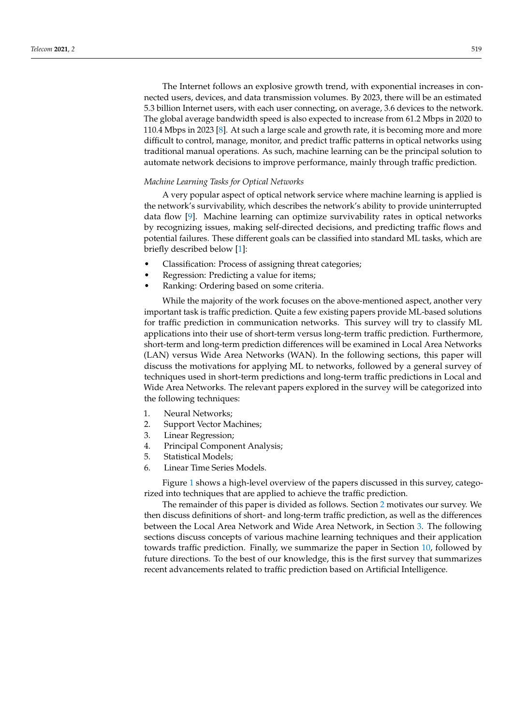The Internet follows an explosive growth trend, with exponential increases in connected users, devices, and data transmission volumes. By 2023, there will be an estimated 5.3 billion Internet users, with each user connecting, on average, 3.6 devices to the network. The global average bandwidth speed is also expected to increase from 61.2 Mbps in 2020 to 110.4 Mbps in 2023 [\[8\]](#page-15-7). At such a large scale and growth rate, it is becoming more and more difficult to control, manage, monitor, and predict traffic patterns in optical networks using traditional manual operations. As such, machine learning can be the principal solution to automate network decisions to improve performance, mainly through traffic prediction.

## *Machine Learning Tasks for Optical Networks*

A very popular aspect of optical network service where machine learning is applied is the network's survivability, which describes the network's ability to provide uninterrupted data flow [\[9\]](#page-15-8). Machine learning can optimize survivability rates in optical networks by recognizing issues, making self-directed decisions, and predicting traffic flows and potential failures. These different goals can be classified into standard ML tasks, which are briefly described below [\[1\]](#page-15-0):

- Classification: Process of assigning threat categories;
- Regression: Predicting a value for items;
- Ranking: Ordering based on some criteria.

While the majority of the work focuses on the above-mentioned aspect, another very important task is traffic prediction. Quite a few existing papers provide ML-based solutions for traffic prediction in communication networks. This survey will try to classify ML applications into their use of short-term versus long-term traffic prediction. Furthermore, short-term and long-term prediction differences will be examined in Local Area Networks (LAN) versus Wide Area Networks (WAN). In the following sections, this paper will discuss the motivations for applying ML to networks, followed by a general survey of techniques used in short-term predictions and long-term traffic predictions in Local and Wide Area Networks. The relevant papers explored in the survey will be categorized into the following techniques:

- 1. Neural Networks;
- 2. Support Vector Machines;
- 3. Linear Regression;
- 4. Principal Component Analysis;
- 5. Statistical Models;
- 6. Linear Time Series Models.

Figure [1](#page-2-0) shows a high-level overview of the papers discussed in this survey, categorized into techniques that are applied to achieve the traffic prediction.

The remainder of this paper is divided as follows. Section [2](#page-2-1) motivates our survey. We then discuss definitions of short- and long-term traffic prediction, as well as the differences between the Local Area Network and Wide Area Network, in Section [3.](#page-3-0) The following sections discuss concepts of various machine learning techniques and their application towards traffic prediction. Finally, we summarize the paper in Section [10,](#page-13-0) followed by future directions. To the best of our knowledge, this is the first survey that summarizes recent advancements related to traffic prediction based on Artificial Intelligence.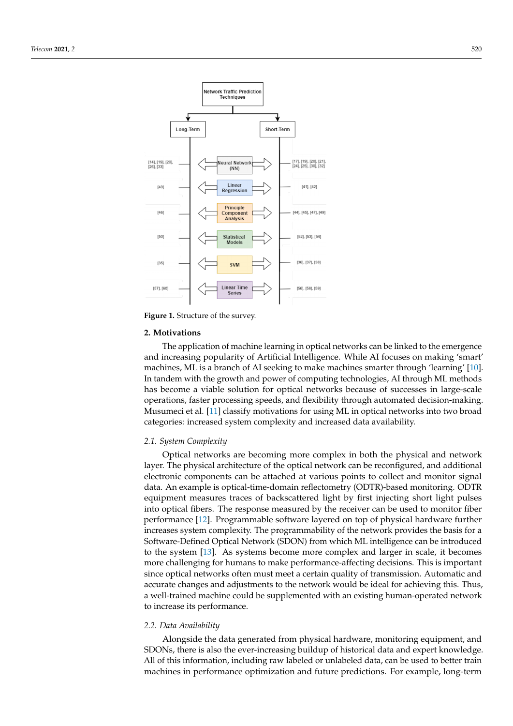<span id="page-2-0"></span>

**Figure 1.** Structure of the survey.

#### <span id="page-2-1"></span>**2. Motivations**

The application of machine learning in optical networks can be linked to the emergence and increasing popularity of Artificial Intelligence. While AI focuses on making 'smart' machines, ML is a branch of AI seeking to make machines smarter through 'learning' [\[10\]](#page-15-9). In tandem with the growth and power of computing technologies, AI through ML methods has become a viable solution for optical networks because of successes in large-scale operations, faster processing speeds, and flexibility through automated decision-making. Musumeci et al. [\[11\]](#page-15-10) classify motivations for using ML in optical networks into two broad categories: increased system complexity and increased data availability.

#### *2.1. System Complexity*

Optical networks are becoming more complex in both the physical and network layer. The physical architecture of the optical network can be reconfigured, and additional electronic components can be attached at various points to collect and monitor signal data. An example is optical-time-domain reflectometry (ODTR)-based monitoring. ODTR equipment measures traces of backscattered light by first injecting short light pulses into optical fibers. The response measured by the receiver can be used to monitor fiber performance [\[12\]](#page-15-11). Programmable software layered on top of physical hardware further increases system complexity. The programmability of the network provides the basis for a Software-Defined Optical Network (SDON) from which ML intelligence can be introduced to the system [\[13\]](#page-15-12). As systems become more complex and larger in scale, it becomes more challenging for humans to make performance-affecting decisions. This is important since optical networks often must meet a certain quality of transmission. Automatic and accurate changes and adjustments to the network would be ideal for achieving this. Thus, a well-trained machine could be supplemented with an existing human-operated network to increase its performance.

#### *2.2. Data Availability*

Alongside the data generated from physical hardware, monitoring equipment, and SDONs, there is also the ever-increasing buildup of historical data and expert knowledge. All of this information, including raw labeled or unlabeled data, can be used to better train machines in performance optimization and future predictions. For example, long-term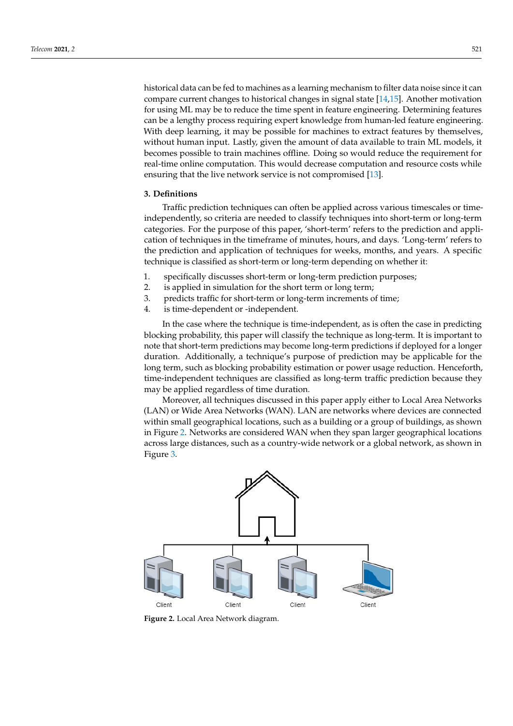historical data can be fed to machines as a learning mechanism to filter data noise since it can compare current changes to historical changes in signal state [\[14](#page-15-13)[,15\]](#page-15-14). Another motivation for using ML may be to reduce the time spent in feature engineering. Determining features can be a lengthy process requiring expert knowledge from human-led feature engineering. With deep learning, it may be possible for machines to extract features by themselves, without human input. Lastly, given the amount of data available to train ML models, it becomes possible to train machines offline. Doing so would reduce the requirement for real-time online computation. This would decrease computation and resource costs while ensuring that the live network service is not compromised [\[13\]](#page-15-12).

# <span id="page-3-0"></span>**3. Definitions**

Traffic prediction techniques can often be applied across various timescales or timeindependently, so criteria are needed to classify techniques into short-term or long-term categories. For the purpose of this paper, 'short-term' refers to the prediction and application of techniques in the timeframe of minutes, hours, and days. 'Long-term' refers to the prediction and application of techniques for weeks, months, and years. A specific technique is classified as short-term or long-term depending on whether it:

- 1. specifically discusses short-term or long-term prediction purposes;
- 2. is applied in simulation for the short term or long term;
- 3. predicts traffic for short-term or long-term increments of time;
- 4. is time-dependent or -independent.

In the case where the technique is time-independent, as is often the case in predicting blocking probability, this paper will classify the technique as long-term. It is important to note that short-term predictions may become long-term predictions if deployed for a longer duration. Additionally, a technique's purpose of prediction may be applicable for the long term, such as blocking probability estimation or power usage reduction. Henceforth, time-independent techniques are classified as long-term traffic prediction because they may be applied regardless of time duration.

Moreover, all techniques discussed in this paper apply either to Local Area Networks (LAN) or Wide Area Networks (WAN). LAN are networks where devices are connected within small geographical locations, such as a building or a group of buildings, as shown in Figure [2.](#page-3-1) Networks are considered WAN when they span larger geographical locations across large distances, such as a country-wide network or a global network, as shown in Figure [3.](#page-4-0)

<span id="page-3-1"></span>

**Figure 2.** Local Area Network diagram.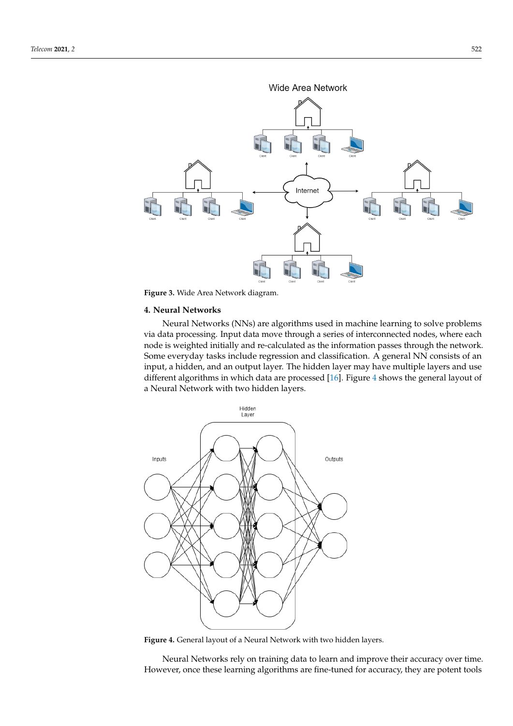<span id="page-4-0"></span>

**Figure 3.** Wide Area Network diagram.

## **4. Neural Networks**

Neural Networks (NNs) are algorithms used in machine learning to solve problems via data processing. Input data move through a series of interconnected nodes, where each node is weighted initially and re-calculated as the information passes through the network. Some everyday tasks include regression and classification. A general NN consists of an input, a hidden, and an output layer. The hidden layer may have multiple layers and use different algorithms in which data are processed [\[16\]](#page-15-15). Figure [4](#page-4-1) shows the general layout of a Neural Network with two hidden layers.

<span id="page-4-1"></span>

**Figure 4.** General layout of a Neural Network with two hidden layers.

Neural Networks rely on training data to learn and improve their accuracy over time. However, once these learning algorithms are fine-tuned for accuracy, they are potent tools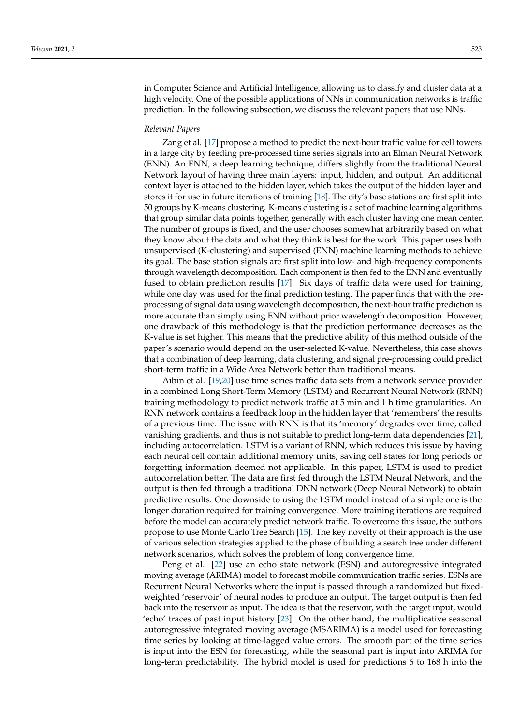in Computer Science and Artificial Intelligence, allowing us to classify and cluster data at a high velocity. One of the possible applications of NNs in communication networks is traffic prediction. In the following subsection, we discuss the relevant papers that use NNs.

## *Relevant Papers*

Zang et al. [\[17\]](#page-15-16) propose a method to predict the next-hour traffic value for cell towers in a large city by feeding pre-processed time series signals into an Elman Neural Network (ENN). An ENN, a deep learning technique, differs slightly from the traditional Neural Network layout of having three main layers: input, hidden, and output. An additional context layer is attached to the hidden layer, which takes the output of the hidden layer and stores it for use in future iterations of training [\[18\]](#page-15-17). The city's base stations are first split into 50 groups by K-means clustering. K-means clustering is a set of machine learning algorithms that group similar data points together, generally with each cluster having one mean center. The number of groups is fixed, and the user chooses somewhat arbitrarily based on what they know about the data and what they think is best for the work. This paper uses both unsupervised (K-clustering) and supervised (ENN) machine learning methods to achieve its goal. The base station signals are first split into low- and high-frequency components through wavelength decomposition. Each component is then fed to the ENN and eventually fused to obtain prediction results [\[17\]](#page-15-16). Six days of traffic data were used for training, while one day was used for the final prediction testing. The paper finds that with the preprocessing of signal data using wavelength decomposition, the next-hour traffic prediction is more accurate than simply using ENN without prior wavelength decomposition. However, one drawback of this methodology is that the prediction performance decreases as the K-value is set higher. This means that the predictive ability of this method outside of the paper's scenario would depend on the user-selected K-value. Nevertheless, this case shows that a combination of deep learning, data clustering, and signal pre-processing could predict short-term traffic in a Wide Area Network better than traditional means.

Aibin et al. [\[19,](#page-15-18)[20\]](#page-15-19) use time series traffic data sets from a network service provider in a combined Long Short-Term Memory (LSTM) and Recurrent Neural Network (RNN) training methodology to predict network traffic at 5 min and 1 h time granularities. An RNN network contains a feedback loop in the hidden layer that 'remembers' the results of a previous time. The issue with RNN is that its 'memory' degrades over time, called vanishing gradients, and thus is not suitable to predict long-term data dependencies [\[21\]](#page-15-20), including autocorrelation. LSTM is a variant of RNN, which reduces this issue by having each neural cell contain additional memory units, saving cell states for long periods or forgetting information deemed not applicable. In this paper, LSTM is used to predict autocorrelation better. The data are first fed through the LSTM Neural Network, and the output is then fed through a traditional DNN network (Deep Neural Network) to obtain predictive results. One downside to using the LSTM model instead of a simple one is the longer duration required for training convergence. More training iterations are required before the model can accurately predict network traffic. To overcome this issue, the authors propose to use Monte Carlo Tree Search [\[15\]](#page-15-14). The key novelty of their approach is the use of various selection strategies applied to the phase of building a search tree under different network scenarios, which solves the problem of long convergence time.

Peng et al. [\[22\]](#page-16-0) use an echo state network (ESN) and autoregressive integrated moving average (ARIMA) model to forecast mobile communication traffic series. ESNs are Recurrent Neural Networks where the input is passed through a randomized but fixedweighted 'reservoir' of neural nodes to produce an output. The target output is then fed back into the reservoir as input. The idea is that the reservoir, with the target input, would 'echo' traces of past input history [\[23\]](#page-16-1). On the other hand, the multiplicative seasonal autoregressive integrated moving average (MSARIMA) is a model used for forecasting time series by looking at time-lagged value errors. The smooth part of the time series is input into the ESN for forecasting, while the seasonal part is input into ARIMA for long-term predictability. The hybrid model is used for predictions 6 to 168 h into the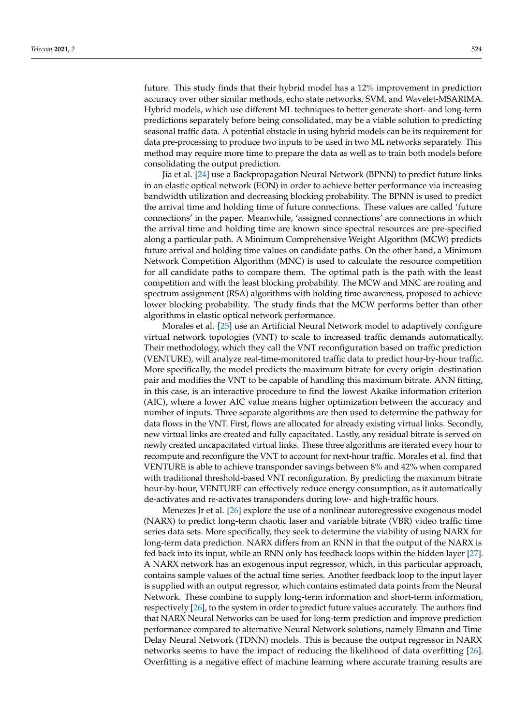future. This study finds that their hybrid model has a 12% improvement in prediction accuracy over other similar methods, echo state networks, SVM, and Wavelet-MSARIMA. Hybrid models, which use different ML techniques to better generate short- and long-term predictions separately before being consolidated, may be a viable solution to predicting seasonal traffic data. A potential obstacle in using hybrid models can be its requirement for data pre-processing to produce two inputs to be used in two ML networks separately. This method may require more time to prepare the data as well as to train both models before consolidating the output prediction.

Jia et al. [\[24\]](#page-16-2) use a Backpropagation Neural Network (BPNN) to predict future links in an elastic optical network (EON) in order to achieve better performance via increasing bandwidth utilization and decreasing blocking probability. The BPNN is used to predict the arrival time and holding time of future connections. These values are called 'future connections' in the paper. Meanwhile, 'assigned connections' are connections in which the arrival time and holding time are known since spectral resources are pre-specified along a particular path. A Minimum Comprehensive Weight Algorithm (MCW) predicts future arrival and holding time values on candidate paths. On the other hand, a Minimum Network Competition Algorithm (MNC) is used to calculate the resource competition for all candidate paths to compare them. The optimal path is the path with the least competition and with the least blocking probability. The MCW and MNC are routing and spectrum assignment (RSA) algorithms with holding time awareness, proposed to achieve lower blocking probability. The study finds that the MCW performs better than other algorithms in elastic optical network performance.

Morales et al. [\[25\]](#page-16-3) use an Artificial Neural Network model to adaptively configure virtual network topologies (VNT) to scale to increased traffic demands automatically. Their methodology, which they call the VNT reconfiguration based on traffic prediction (VENTURE), will analyze real-time-monitored traffic data to predict hour-by-hour traffic. More specifically, the model predicts the maximum bitrate for every origin–destination pair and modifies the VNT to be capable of handling this maximum bitrate. ANN fitting, in this case, is an interactive procedure to find the lowest Akaike information criterion (AIC), where a lower AIC value means higher optimization between the accuracy and number of inputs. Three separate algorithms are then used to determine the pathway for data flows in the VNT. First, flows are allocated for already existing virtual links. Secondly, new virtual links are created and fully capacitated. Lastly, any residual bitrate is served on newly created uncapacitated virtual links. These three algorithms are iterated every hour to recompute and reconfigure the VNT to account for next-hour traffic. Morales et al. find that VENTURE is able to achieve transponder savings between 8% and 42% when compared with traditional threshold-based VNT reconfiguration. By predicting the maximum bitrate hour-by-hour, VENTURE can effectively reduce energy consumption, as it automatically de-activates and re-activates transponders during low- and high-traffic hours.

Menezes Jr et al. [\[26\]](#page-16-4) explore the use of a nonlinear autoregressive exogenous model (NARX) to predict long-term chaotic laser and variable bitrate (VBR) video traffic time series data sets. More specifically, they seek to determine the viability of using NARX for long-term data prediction. NARX differs from an RNN in that the output of the NARX is fed back into its input, while an RNN only has feedback loops within the hidden layer [\[27\]](#page-16-5). A NARX network has an exogenous input regressor, which, in this particular approach, contains sample values of the actual time series. Another feedback loop to the input layer is supplied with an output regressor, which contains estimated data points from the Neural Network. These combine to supply long-term information and short-term information, respectively [\[26\]](#page-16-4), to the system in order to predict future values accurately. The authors find that NARX Neural Networks can be used for long-term prediction and improve prediction performance compared to alternative Neural Network solutions, namely Elmann and Time Delay Neural Network (TDNN) models. This is because the output regressor in NARX networks seems to have the impact of reducing the likelihood of data overfitting [\[26\]](#page-16-4). Overfitting is a negative effect of machine learning where accurate training results are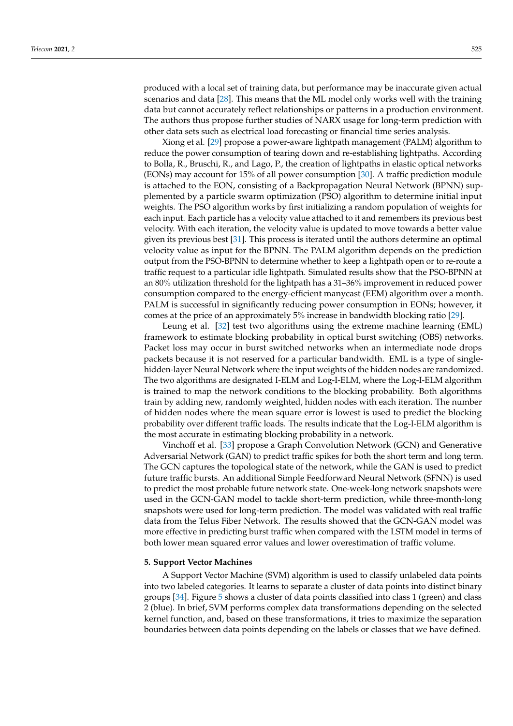produced with a local set of training data, but performance may be inaccurate given actual scenarios and data [\[28\]](#page-16-6). This means that the ML model only works well with the training data but cannot accurately reflect relationships or patterns in a production environment. The authors thus propose further studies of NARX usage for long-term prediction with other data sets such as electrical load forecasting or financial time series analysis.

Xiong et al. [\[29\]](#page-16-7) propose a power-aware lightpath management (PALM) algorithm to reduce the power consumption of tearing down and re-establishing lightpaths. According to Bolla, R., Bruschi, R., and Lago, P., the creation of lightpaths in elastic optical networks (EONs) may account for 15% of all power consumption [\[30\]](#page-16-8). A traffic prediction module is attached to the EON, consisting of a Backpropagation Neural Network (BPNN) supplemented by a particle swarm optimization (PSO) algorithm to determine initial input weights. The PSO algorithm works by first initializing a random population of weights for each input. Each particle has a velocity value attached to it and remembers its previous best velocity. With each iteration, the velocity value is updated to move towards a better value given its previous best [\[31\]](#page-16-9). This process is iterated until the authors determine an optimal velocity value as input for the BPNN. The PALM algorithm depends on the prediction output from the PSO-BPNN to determine whether to keep a lightpath open or to re-route a traffic request to a particular idle lightpath. Simulated results show that the PSO-BPNN at an 80% utilization threshold for the lightpath has a 31–36% improvement in reduced power consumption compared to the energy-efficient manycast (EEM) algorithm over a month. PALM is successful in significantly reducing power consumption in EONs; however, it comes at the price of an approximately 5% increase in bandwidth blocking ratio [\[29\]](#page-16-7).

Leung et al. [\[32\]](#page-16-10) test two algorithms using the extreme machine learning (EML) framework to estimate blocking probability in optical burst switching (OBS) networks. Packet loss may occur in burst switched networks when an intermediate node drops packets because it is not reserved for a particular bandwidth. EML is a type of singlehidden-layer Neural Network where the input weights of the hidden nodes are randomized. The two algorithms are designated I-ELM and Log-I-ELM, where the Log-I-ELM algorithm is trained to map the network conditions to the blocking probability. Both algorithms train by adding new, randomly weighted, hidden nodes with each iteration. The number of hidden nodes where the mean square error is lowest is used to predict the blocking probability over different traffic loads. The results indicate that the Log-I-ELM algorithm is the most accurate in estimating blocking probability in a network.

Vinchoff et al. [\[33\]](#page-16-11) propose a Graph Convolution Network (GCN) and Generative Adversarial Network (GAN) to predict traffic spikes for both the short term and long term. The GCN captures the topological state of the network, while the GAN is used to predict future traffic bursts. An additional Simple Feedforward Neural Network (SFNN) is used to predict the most probable future network state. One-week-long network snapshots were used in the GCN-GAN model to tackle short-term prediction, while three-month-long snapshots were used for long-term prediction. The model was validated with real traffic data from the Telus Fiber Network. The results showed that the GCN-GAN model was more effective in predicting burst traffic when compared with the LSTM model in terms of both lower mean squared error values and lower overestimation of traffic volume.

#### **5. Support Vector Machines**

A Support Vector Machine (SVM) algorithm is used to classify unlabeled data points into two labeled categories. It learns to separate a cluster of data points into distinct binary groups [\[34\]](#page-16-12). Figure [5](#page-8-0) shows a cluster of data points classified into class 1 (green) and class 2 (blue). In brief, SVM performs complex data transformations depending on the selected kernel function, and, based on these transformations, it tries to maximize the separation boundaries between data points depending on the labels or classes that we have defined.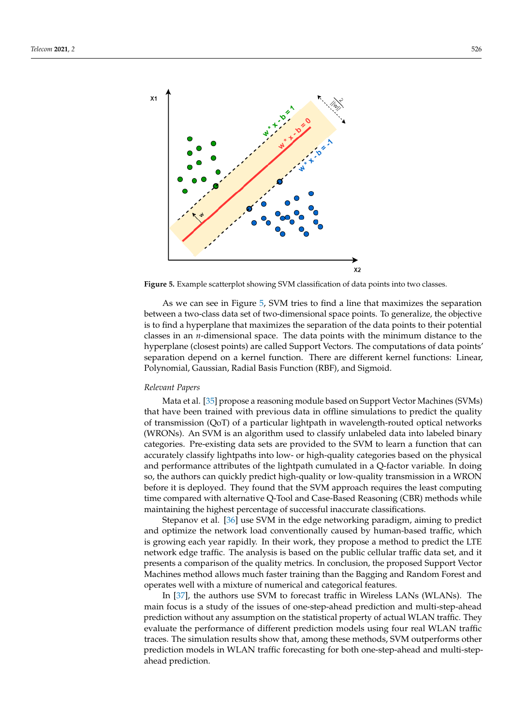<span id="page-8-0"></span>

**Figure 5.** Example scatterplot showing SVM classification of data points into two classes.

As we can see in Figure [5,](#page-8-0) SVM tries to find a line that maximizes the separation between a two-class data set of two-dimensional space points. To generalize, the objective is to find a hyperplane that maximizes the separation of the data points to their potential classes in an *n*-dimensional space. The data points with the minimum distance to the hyperplane (closest points) are called Support Vectors. The computations of data points' separation depend on a kernel function. There are different kernel functions: Linear, Polynomial, Gaussian, Radial Basis Function (RBF), and Sigmoid.

### *Relevant Papers*

Mata et al. [\[35\]](#page-16-13) propose a reasoning module based on Support Vector Machines (SVMs) that have been trained with previous data in offline simulations to predict the quality of transmission (QoT) of a particular lightpath in wavelength-routed optical networks (WRONs). An SVM is an algorithm used to classify unlabeled data into labeled binary categories. Pre-existing data sets are provided to the SVM to learn a function that can accurately classify lightpaths into low- or high-quality categories based on the physical and performance attributes of the lightpath cumulated in a Q-factor variable. In doing so, the authors can quickly predict high-quality or low-quality transmission in a WRON before it is deployed. They found that the SVM approach requires the least computing time compared with alternative Q-Tool and Case-Based Reasoning (CBR) methods while maintaining the highest percentage of successful inaccurate classifications.

Stepanov et al. [\[36\]](#page-16-14) use SVM in the edge networking paradigm, aiming to predict and optimize the network load conventionally caused by human-based traffic, which is growing each year rapidly. In their work, they propose a method to predict the LTE network edge traffic. The analysis is based on the public cellular traffic data set, and it presents a comparison of the quality metrics. In conclusion, the proposed Support Vector Machines method allows much faster training than the Bagging and Random Forest and operates well with a mixture of numerical and categorical features.

In [\[37\]](#page-16-15), the authors use SVM to forecast traffic in Wireless LANs (WLANs). The main focus is a study of the issues of one-step-ahead prediction and multi-step-ahead prediction without any assumption on the statistical property of actual WLAN traffic. They evaluate the performance of different prediction models using four real WLAN traffic traces. The simulation results show that, among these methods, SVM outperforms other prediction models in WLAN traffic forecasting for both one-step-ahead and multi-stepahead prediction.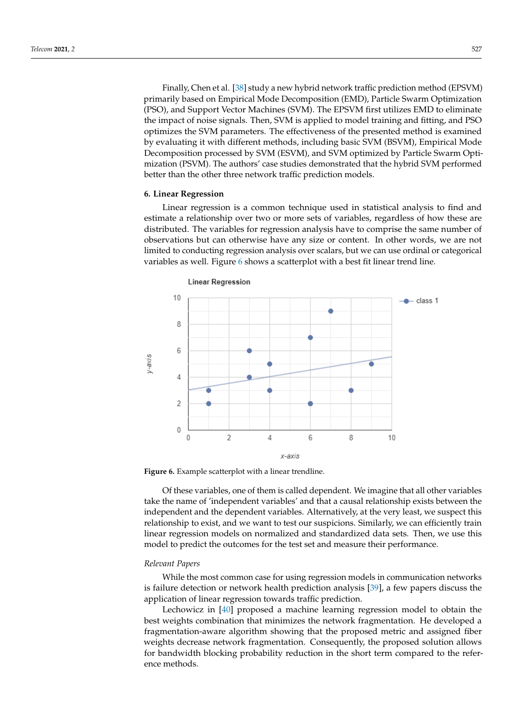Finally, Chen et al. [\[38\]](#page-16-16) study a new hybrid network traffic prediction method (EPSVM) primarily based on Empirical Mode Decomposition (EMD), Particle Swarm Optimization (PSO), and Support Vector Machines (SVM). The EPSVM first utilizes EMD to eliminate the impact of noise signals. Then, SVM is applied to model training and fitting, and PSO optimizes the SVM parameters. The effectiveness of the presented method is examined by evaluating it with different methods, including basic SVM (BSVM), Empirical Mode Decomposition processed by SVM (ESVM), and SVM optimized by Particle Swarm Optimization (PSVM). The authors' case studies demonstrated that the hybrid SVM performed better than the other three network traffic prediction models.

## **6. Linear Regression**

Linear regression is a common technique used in statistical analysis to find and estimate a relationship over two or more sets of variables, regardless of how these are distributed. The variables for regression analysis have to comprise the same number of observations but can otherwise have any size or content. In other words, we are not limited to conducting regression analysis over scalars, but we can use ordinal or categorical variables as well. Figure [6](#page-9-0) shows a scatterplot with a best fit linear trend line.

<span id="page-9-0"></span>

**Figure 6.** Example scatterplot with a linear trendline.

Of these variables, one of them is called dependent. We imagine that all other variables take the name of 'independent variables' and that a causal relationship exists between the independent and the dependent variables. Alternatively, at the very least, we suspect this relationship to exist, and we want to test our suspicions. Similarly, we can efficiently train linear regression models on normalized and standardized data sets. Then, we use this model to predict the outcomes for the test set and measure their performance.

# *Relevant Papers*

While the most common case for using regression models in communication networks is failure detection or network health prediction analysis [\[39\]](#page-16-17), a few papers discuss the application of linear regression towards traffic prediction.

Lechowicz in [\[40\]](#page-16-18) proposed a machine learning regression model to obtain the best weights combination that minimizes the network fragmentation. He developed a fragmentation-aware algorithm showing that the proposed metric and assigned fiber weights decrease network fragmentation. Consequently, the proposed solution allows for bandwidth blocking probability reduction in the short term compared to the reference methods.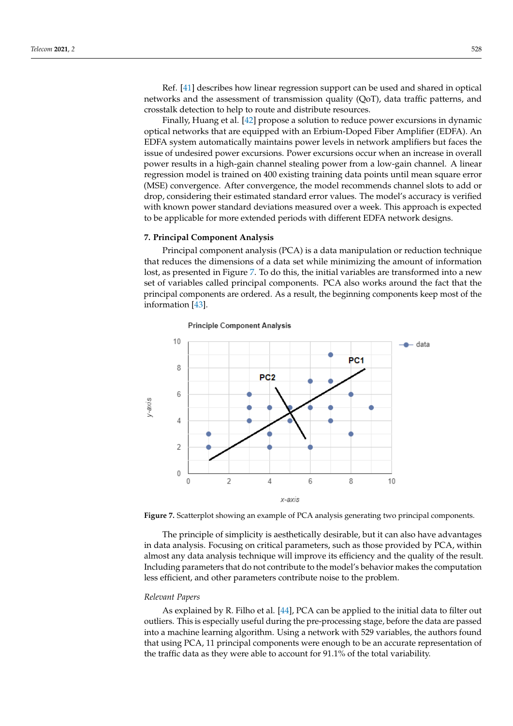Ref. [\[41\]](#page-16-19) describes how linear regression support can be used and shared in optical networks and the assessment of transmission quality (QoT), data traffic patterns, and crosstalk detection to help to route and distribute resources.

Finally, Huang et al. [\[42\]](#page-16-20) propose a solution to reduce power excursions in dynamic optical networks that are equipped with an Erbium-Doped Fiber Amplifier (EDFA). An EDFA system automatically maintains power levels in network amplifiers but faces the issue of undesired power excursions. Power excursions occur when an increase in overall power results in a high-gain channel stealing power from a low-gain channel. A linear regression model is trained on 400 existing training data points until mean square error (MSE) convergence. After convergence, the model recommends channel slots to add or drop, considering their estimated standard error values. The model's accuracy is verified with known power standard deviations measured over a week. This approach is expected to be applicable for more extended periods with different EDFA network designs.

## **7. Principal Component Analysis**

Principal component analysis (PCA) is a data manipulation or reduction technique that reduces the dimensions of a data set while minimizing the amount of information lost, as presented in Figure [7.](#page-10-0) To do this, the initial variables are transformed into a new set of variables called principal components. PCA also works around the fact that the principal components are ordered. As a result, the beginning components keep most of the information [\[43\]](#page-16-21).

<span id="page-10-0"></span>

#### **Principle Component Analysis**

**Figure 7.** Scatterplot showing an example of PCA analysis generating two principal components.

The principle of simplicity is aesthetically desirable, but it can also have advantages in data analysis. Focusing on critical parameters, such as those provided by PCA, within almost any data analysis technique will improve its efficiency and the quality of the result. Including parameters that do not contribute to the model's behavior makes the computation less efficient, and other parameters contribute noise to the problem.

#### *Relevant Papers*

As explained by R. Filho et al. [\[44\]](#page-16-22), PCA can be applied to the initial data to filter out outliers. This is especially useful during the pre-processing stage, before the data are passed into a machine learning algorithm. Using a network with 529 variables, the authors found that using PCA, 11 principal components were enough to be an accurate representation of the traffic data as they were able to account for 91.1% of the total variability.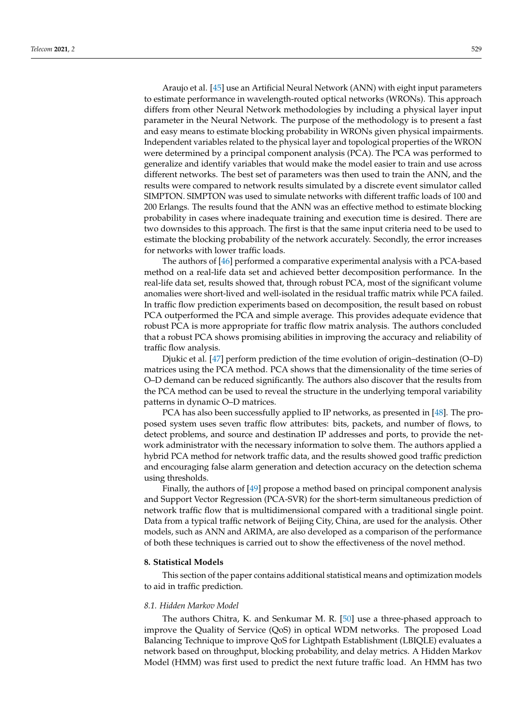Araujo et al. [\[45\]](#page-16-23) use an Artificial Neural Network (ANN) with eight input parameters to estimate performance in wavelength-routed optical networks (WRONs). This approach differs from other Neural Network methodologies by including a physical layer input parameter in the Neural Network. The purpose of the methodology is to present a fast and easy means to estimate blocking probability in WRONs given physical impairments. Independent variables related to the physical layer and topological properties of the WRON were determined by a principal component analysis (PCA). The PCA was performed to generalize and identify variables that would make the model easier to train and use across different networks. The best set of parameters was then used to train the ANN, and the results were compared to network results simulated by a discrete event simulator called SIMPTON. SIMPTON was used to simulate networks with different traffic loads of 100 and 200 Erlangs. The results found that the ANN was an effective method to estimate blocking probability in cases where inadequate training and execution time is desired. There are two downsides to this approach. The first is that the same input criteria need to be used to estimate the blocking probability of the network accurately. Secondly, the error increases for networks with lower traffic loads.

The authors of [\[46\]](#page-16-24) performed a comparative experimental analysis with a PCA-based method on a real-life data set and achieved better decomposition performance. In the real-life data set, results showed that, through robust PCA, most of the significant volume anomalies were short-lived and well-isolated in the residual traffic matrix while PCA failed. In traffic flow prediction experiments based on decomposition, the result based on robust PCA outperformed the PCA and simple average. This provides adequate evidence that robust PCA is more appropriate for traffic flow matrix analysis. The authors concluded that a robust PCA shows promising abilities in improving the accuracy and reliability of traffic flow analysis.

Djukic et al. [\[47\]](#page-16-25) perform prediction of the time evolution of origin–destination (O–D) matrices using the PCA method. PCA shows that the dimensionality of the time series of O–D demand can be reduced significantly. The authors also discover that the results from the PCA method can be used to reveal the structure in the underlying temporal variability patterns in dynamic O–D matrices.

PCA has also been successfully applied to IP networks, as presented in [\[48\]](#page-17-0). The proposed system uses seven traffic flow attributes: bits, packets, and number of flows, to detect problems, and source and destination IP addresses and ports, to provide the network administrator with the necessary information to solve them. The authors applied a hybrid PCA method for network traffic data, and the results showed good traffic prediction and encouraging false alarm generation and detection accuracy on the detection schema using thresholds.

Finally, the authors of [\[49\]](#page-17-1) propose a method based on principal component analysis and Support Vector Regression (PCA-SVR) for the short-term simultaneous prediction of network traffic flow that is multidimensional compared with a traditional single point. Data from a typical traffic network of Beijing City, China, are used for the analysis. Other models, such as ANN and ARIMA, are also developed as a comparison of the performance of both these techniques is carried out to show the effectiveness of the novel method.

## **8. Statistical Models**

This section of the paper contains additional statistical means and optimization models to aid in traffic prediction.

## *8.1. Hidden Markov Model*

The authors Chitra, K. and Senkumar M. R. [\[50\]](#page-17-2) use a three-phased approach to improve the Quality of Service (QoS) in optical WDM networks. The proposed Load Balancing Technique to improve QoS for Lightpath Establishment (LBIQLE) evaluates a network based on throughput, blocking probability, and delay metrics. A Hidden Markov Model (HMM) was first used to predict the next future traffic load. An HMM has two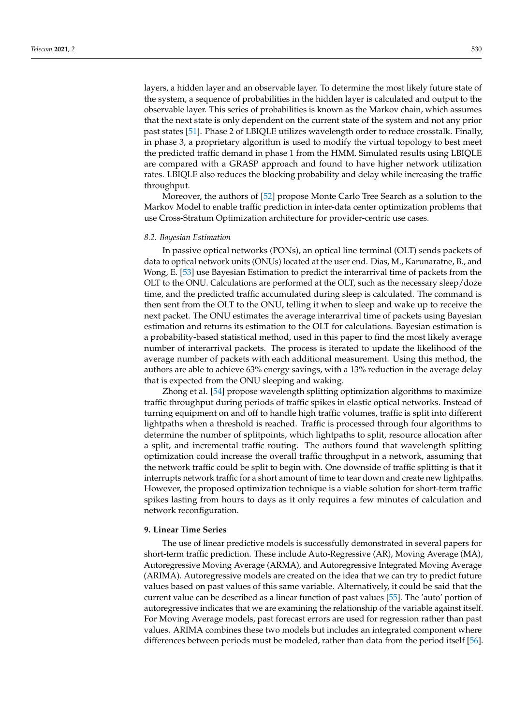layers, a hidden layer and an observable layer. To determine the most likely future state of the system, a sequence of probabilities in the hidden layer is calculated and output to the observable layer. This series of probabilities is known as the Markov chain, which assumes that the next state is only dependent on the current state of the system and not any prior past states [\[51\]](#page-17-3). Phase 2 of LBIQLE utilizes wavelength order to reduce crosstalk. Finally, in phase 3, a proprietary algorithm is used to modify the virtual topology to best meet the predicted traffic demand in phase 1 from the HMM. Simulated results using LBIQLE are compared with a GRASP approach and found to have higher network utilization rates. LBIQLE also reduces the blocking probability and delay while increasing the traffic throughput.

Moreover, the authors of [\[52\]](#page-17-4) propose Monte Carlo Tree Search as a solution to the Markov Model to enable traffic prediction in inter-data center optimization problems that use Cross-Stratum Optimization architecture for provider-centric use cases.

#### *8.2. Bayesian Estimation*

In passive optical networks (PONs), an optical line terminal (OLT) sends packets of data to optical network units (ONUs) located at the user end. Dias, M., Karunaratne, B., and Wong, E. [\[53\]](#page-17-5) use Bayesian Estimation to predict the interarrival time of packets from the OLT to the ONU. Calculations are performed at the OLT, such as the necessary sleep/doze time, and the predicted traffic accumulated during sleep is calculated. The command is then sent from the OLT to the ONU, telling it when to sleep and wake up to receive the next packet. The ONU estimates the average interarrival time of packets using Bayesian estimation and returns its estimation to the OLT for calculations. Bayesian estimation is a probability-based statistical method, used in this paper to find the most likely average number of interarrival packets. The process is iterated to update the likelihood of the average number of packets with each additional measurement. Using this method, the authors are able to achieve 63% energy savings, with a 13% reduction in the average delay that is expected from the ONU sleeping and waking.

Zhong et al. [\[54\]](#page-17-6) propose wavelength splitting optimization algorithms to maximize traffic throughput during periods of traffic spikes in elastic optical networks. Instead of turning equipment on and off to handle high traffic volumes, traffic is split into different lightpaths when a threshold is reached. Traffic is processed through four algorithms to determine the number of splitpoints, which lightpaths to split, resource allocation after a split, and incremental traffic routing. The authors found that wavelength splitting optimization could increase the overall traffic throughput in a network, assuming that the network traffic could be split to begin with. One downside of traffic splitting is that it interrupts network traffic for a short amount of time to tear down and create new lightpaths. However, the proposed optimization technique is a viable solution for short-term traffic spikes lasting from hours to days as it only requires a few minutes of calculation and network reconfiguration.

## **9. Linear Time Series**

The use of linear predictive models is successfully demonstrated in several papers for short-term traffic prediction. These include Auto-Regressive (AR), Moving Average (MA), Autoregressive Moving Average (ARMA), and Autoregressive Integrated Moving Average (ARIMA). Autoregressive models are created on the idea that we can try to predict future values based on past values of this same variable. Alternatively, it could be said that the current value can be described as a linear function of past values [\[55\]](#page-17-7). The 'auto' portion of autoregressive indicates that we are examining the relationship of the variable against itself. For Moving Average models, past forecast errors are used for regression rather than past values. ARIMA combines these two models but includes an integrated component where differences between periods must be modeled, rather than data from the period itself [\[56\]](#page-17-8).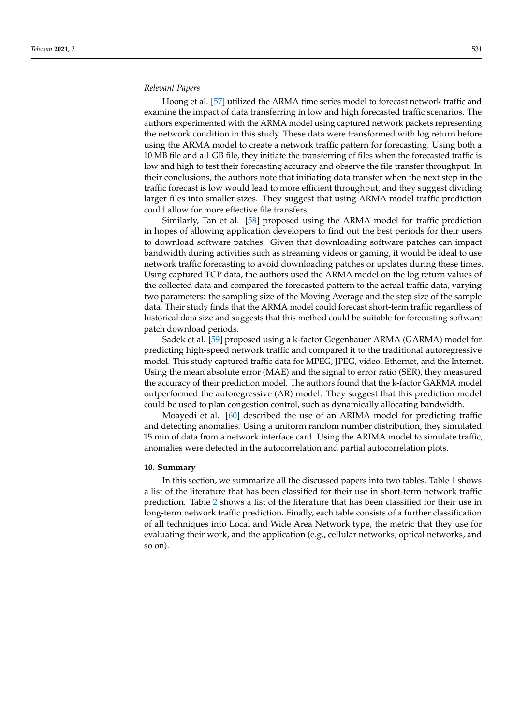## *Relevant Papers*

Hoong et al. [\[57\]](#page-17-9) utilized the ARMA time series model to forecast network traffic and examine the impact of data transferring in low and high forecasted traffic scenarios. The authors experimented with the ARMA model using captured network packets representing the network condition in this study. These data were transformed with log return before using the ARMA model to create a network traffic pattern for forecasting. Using both a 10 MB file and a 1 GB file, they initiate the transferring of files when the forecasted traffic is low and high to test their forecasting accuracy and observe the file transfer throughput. In their conclusions, the authors note that initiating data transfer when the next step in the traffic forecast is low would lead to more efficient throughput, and they suggest dividing larger files into smaller sizes. They suggest that using ARMA model traffic prediction could allow for more effective file transfers.

Similarly, Tan et al. [\[58\]](#page-17-10) proposed using the ARMA model for traffic prediction in hopes of allowing application developers to find out the best periods for their users to download software patches. Given that downloading software patches can impact bandwidth during activities such as streaming videos or gaming, it would be ideal to use network traffic forecasting to avoid downloading patches or updates during these times. Using captured TCP data, the authors used the ARMA model on the log return values of the collected data and compared the forecasted pattern to the actual traffic data, varying two parameters: the sampling size of the Moving Average and the step size of the sample data. Their study finds that the ARMA model could forecast short-term traffic regardless of historical data size and suggests that this method could be suitable for forecasting software patch download periods.

Sadek et al. [\[59\]](#page-17-11) proposed using a k-factor Gegenbauer ARMA (GARMA) model for predicting high-speed network traffic and compared it to the traditional autoregressive model. This study captured traffic data for MPEG, JPEG, video, Ethernet, and the Internet. Using the mean absolute error (MAE) and the signal to error ratio (SER), they measured the accuracy of their prediction model. The authors found that the k-factor GARMA model outperformed the autoregressive (AR) model. They suggest that this prediction model could be used to plan congestion control, such as dynamically allocating bandwidth.

Moayedi et al. [\[60\]](#page-17-12) described the use of an ARIMA model for predicting traffic and detecting anomalies. Using a uniform random number distribution, they simulated 15 min of data from a network interface card. Using the ARIMA model to simulate traffic, anomalies were detected in the autocorrelation and partial autocorrelation plots.

#### <span id="page-13-0"></span>**10. Summary**

In this section, we summarize all the discussed papers into two tables. Table [1](#page-14-0) shows a list of the literature that has been classified for their use in short-term network traffic prediction. Table [2](#page-14-1) shows a list of the literature that has been classified for their use in long-term network traffic prediction. Finally, each table consists of a further classification of all techniques into Local and Wide Area Network type, the metric that they use for evaluating their work, and the application (e.g., cellular networks, optical networks, and so on).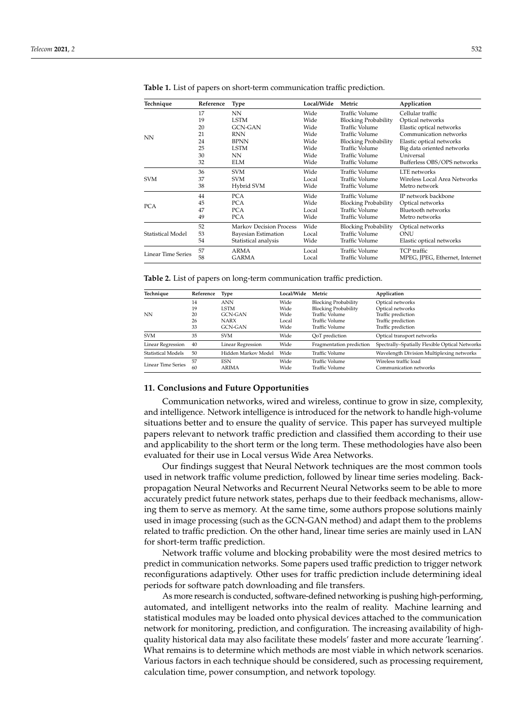| Technique          | Reference | Type                           | Local/Wide | Metric                      | Application                    |
|--------------------|-----------|--------------------------------|------------|-----------------------------|--------------------------------|
| NN                 | 17        | NN                             | Wide       | Traffic Volume              | Cellular traffic               |
|                    | 19        | <b>LSTM</b>                    | Wide       | <b>Blocking Probability</b> | Optical networks               |
|                    | 20        | <b>GCN-GAN</b>                 | Wide       | <b>Traffic Volume</b>       | Elastic optical networks       |
|                    | 21        | <b>RNN</b>                     | Wide       | Traffic Volume              | Communication networks         |
|                    | 24        | <b>BPNN</b>                    | Wide       | <b>Blocking Probability</b> | Elastic optical networks       |
|                    | 25        | <b>LSTM</b>                    | Wide       | Traffic Volume              | Big data oriented networks     |
|                    | 30        | NN                             | Wide       | Traffic Volume              | Universal                      |
|                    | 32        | <b>ELM</b>                     | Wide       | Traffic Volume              | Bufferless OBS/OPS networks    |
| <b>SVM</b>         | 36        | <b>SVM</b>                     | Wide       | Traffic Volume              | LTE networks                   |
|                    | 37        | <b>SVM</b>                     | Local      | Traffic Volume              | Wireless Local Area Networks   |
|                    | 38        | Hybrid SVM                     | Wide       | Traffic Volume              | Metro network                  |
| <b>PCA</b>         | 44        | <b>PCA</b>                     | Wide       | <b>Traffic Volume</b>       | IP network backbone            |
|                    | 45        | <b>PCA</b>                     | Wide       | <b>Blocking Probability</b> | Optical networks               |
|                    | 47        | <b>PCA</b>                     | Local      | Traffic Volume              | Bluetooth networks             |
|                    | 49        | <b>PCA</b>                     | Wide       | Traffic Volume              | Metro networks                 |
| Statistical Model  | 52        | <b>Markov Decision Process</b> | Wide       | <b>Blocking Probability</b> | Optical networks               |
|                    | 53        | Bayesian Estimation            | Local      | <b>Traffic Volume</b>       | ONU                            |
|                    | 54        | Statistical analysis           | Wide       | Traffic Volume              | Elastic optical networks       |
| Linear Time Series | 57        | ARMA                           | Local      | Traffic Volume              | TCP traffic                    |
|                    | 58        | GARMA                          | Local      | Traffic Volume              | MPEG, JPEG, Ethernet, Internet |

<span id="page-14-0"></span>**Table 1.** List of papers on short-term communication traffic prediction.

<span id="page-14-1"></span>**Table 2.** List of papers on long-term communication traffic prediction.

| Technique                 | Reference | <b>Type</b>              | Local/Wide | Metric                      | Application                                    |
|---------------------------|-----------|--------------------------|------------|-----------------------------|------------------------------------------------|
|                           | 14        | <b>ANN</b>               | Wide       | <b>Blocking Probability</b> | Optical networks                               |
| NΝ                        | 19        | <b>LSTM</b>              | Wide       | <b>Blocking Probability</b> | Optical networks                               |
|                           | 20        | <b>GCN-GAN</b>           | Wide       | Traffic Volume              | Traffic prediction                             |
|                           | 26        | <b>NARX</b>              | Local      | Traffic Volume              | Traffic prediction                             |
|                           | 33        | <b>GCN-GAN</b>           | Wide       | Traffic Volume              | Traffic prediction                             |
| <b>SVM</b>                | 35        | <b>SVM</b>               | Wide       | QoT prediction              | Optical transport networks                     |
| Linear Regression         | 40        | <b>Linear Regression</b> | Wide       | Fragmentation prediction    | Spectrally-Spatially Flexible Optical Networks |
| <b>Statistical Models</b> | 50        | Hidden Markov Model      | Wide       | Traffic Volume              | Wavelength Division Multiplexing networks      |
| <b>Linear Time Series</b> | 57        | <b>FSN</b>               | Wide       | Traffic Volume              | Wireless traffic load                          |
|                           | 60        | ARIMA                    | Wide       | Traffic Volume              | Communication networks                         |

#### **11. Conclusions and Future Opportunities**

Communication networks, wired and wireless, continue to grow in size, complexity, and intelligence. Network intelligence is introduced for the network to handle high-volume situations better and to ensure the quality of service. This paper has surveyed multiple papers relevant to network traffic prediction and classified them according to their use and applicability to the short term or the long term. These methodologies have also been evaluated for their use in Local versus Wide Area Networks.

Our findings suggest that Neural Network techniques are the most common tools used in network traffic volume prediction, followed by linear time series modeling. Backpropagation Neural Networks and Recurrent Neural Networks seem to be able to more accurately predict future network states, perhaps due to their feedback mechanisms, allowing them to serve as memory. At the same time, some authors propose solutions mainly used in image processing (such as the GCN-GAN method) and adapt them to the problems related to traffic prediction. On the other hand, linear time series are mainly used in LAN for short-term traffic prediction.

Network traffic volume and blocking probability were the most desired metrics to predict in communication networks. Some papers used traffic prediction to trigger network reconfigurations adaptively. Other uses for traffic prediction include determining ideal periods for software patch downloading and file transfers.

As more research is conducted, software-defined networking is pushing high-performing, automated, and intelligent networks into the realm of reality. Machine learning and statistical modules may be loaded onto physical devices attached to the communication network for monitoring, prediction, and configuration. The increasing availability of highquality historical data may also facilitate these models' faster and more accurate 'learning'. What remains is to determine which methods are most viable in which network scenarios. Various factors in each technique should be considered, such as processing requirement, calculation time, power consumption, and network topology.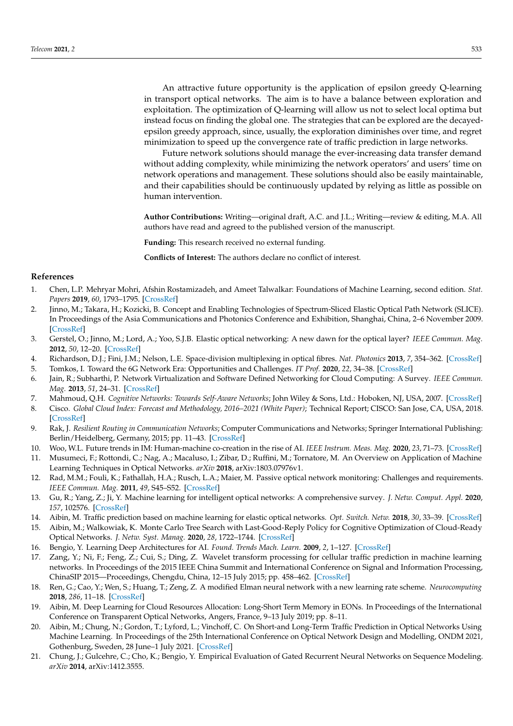An attractive future opportunity is the application of epsilon greedy Q-learning in transport optical networks. The aim is to have a balance between exploration and exploitation. The optimization of Q-learning will allow us not to select local optima but instead focus on finding the global one. The strategies that can be explored are the decayedepsilon greedy approach, since, usually, the exploration diminishes over time, and regret minimization to speed up the convergence rate of traffic prediction in large networks.

Future network solutions should manage the ever-increasing data transfer demand without adding complexity, while minimizing the network operators' and users' time on network operations and management. These solutions should also be easily maintainable, and their capabilities should be continuously updated by relying as little as possible on human intervention.

**Author Contributions:** Writing—original draft, A.C. and J.L.; Writing—review & editing, M.A. All authors have read and agreed to the published version of the manuscript.

**Funding:** This research received no external funding.

**Conflicts of Interest:** The authors declare no conflict of interest.

## **References**

- <span id="page-15-0"></span>1. Chen, L.P. Mehryar Mohri, Afshin Rostamizadeh, and Ameet Talwalkar: Foundations of Machine Learning, second edition. *Stat. Papers* **2019**, *60*, 1793–1795. [\[CrossRef\]](http://doi.org/10.1007/s00362-019-01124-9)
- <span id="page-15-1"></span>2. Jinno, M.; Takara, H.; Kozicki, B. Concept and Enabling Technologies of Spectrum-Sliced Elastic Optical Path Network (SLICE). In Proceedings of the Asia Communications and Photonics Conference and Exhibition, Shanghai, China, 2–6 November 2009. [\[CrossRef\]](http://dx.doi.org/10.1364/ACP.2009.FO2)
- <span id="page-15-2"></span>3. Gerstel, O.; Jinno, M.; Lord, A.; Yoo, S.J.B. Elastic optical networking: A new dawn for the optical layer? *IEEE Commun. Mag.* **2012**, *50*, 12–20. [\[CrossRef\]](http://dx.doi.org/10.1109/MCOM.2012.6146481)
- <span id="page-15-4"></span><span id="page-15-3"></span>4. Richardson, D.J.; Fini, J.M.; Nelson, L.E. Space-division multiplexing in optical fibres. *Nat. Photonics* **2013**, *7*, 354–362. [\[CrossRef\]](http://dx.doi.org/10.1038/nphoton.2013.94) 5. Tomkos, I. Toward the 6G Network Era: Opportunities and Challenges. *IT Prof.* **2020**, *22*, 34–38. [\[CrossRef\]](http://dx.doi.org/10.1109/MITP.2019.2963491)
- <span id="page-15-5"></span>6. Jain, R.; Subharthi, P. Network Virtualization and Software Defined Networking for Cloud Computing: A Survey. *IEEE Commun. Mag.* **2013**, *51*, 24–31. [\[CrossRef\]](http://dx.doi.org/10.1109/MCOM.2013.6658648)
- <span id="page-15-6"></span>7. Mahmoud, Q.H. *Cognitive Networks: Towards Self-Aware Networks*; John Wiley & Sons, Ltd.: Hoboken, NJ, USA, 2007. [\[CrossRef\]](http://dx.doi.org/10.1002/9780470515143)
- <span id="page-15-7"></span>8. Cisco. *Global Cloud Index: Forecast and Methodology, 2016–2021 (White Paper)*; Technical Report; CISCO: San Jose, CA, USA, 2018. [\[CrossRef\]](http://dx.doi.org/1461303651810644)
- <span id="page-15-8"></span>9. Rak, J. *Resilient Routing in Communication Networks*; Computer Communications and Networks; Springer International Publishing: Berlin/Heidelberg, Germany, 2015; pp. 11–43. [\[CrossRef\]](http://dx.doi.org/10.1007/978-3-319-22333-9)
- <span id="page-15-9"></span>10. Woo, W.L. Future trends in IM: Human-machine co-creation in the rise of AI. *IEEE Instrum. Meas. Mag.* **2020**, *23*, 71–73. [\[CrossRef\]](http://dx.doi.org/10.1109/MIM.2020.9062691)
- <span id="page-15-10"></span>11. Musumeci, F.; Rottondi, C.; Nag, A.; Macaluso, I.; Zibar, D.; Ruffini, M.; Tornatore, M. An Overview on Application of Machine Learning Techniques in Optical Networks. *arXiv* **2018**, arXiv:1803.07976v1.
- <span id="page-15-11"></span>12. Rad, M.M.; Fouli, K.; Fathallah, H.A.; Rusch, L.A.; Maier, M. Passive optical network monitoring: Challenges and requirements. *IEEE Commun. Mag.* **2011**, *49*, S45–S52. [\[CrossRef\]](http://dx.doi.org/10.1109/MCOM.2011.5706313)
- <span id="page-15-12"></span>13. Gu, R.; Yang, Z.; Ji, Y. Machine learning for intelligent optical networks: A comprehensive survey. *J. Netw. Comput. Appl.* **2020**, *157*, 102576. [\[CrossRef\]](http://dx.doi.org/10.1016/j.jnca.2020.102576)
- <span id="page-15-13"></span>14. Aibin, M. Traffic prediction based on machine learning for elastic optical networks. *Opt. Switch. Netw.* **2018**, *30*, 33–39. [\[CrossRef\]](http://dx.doi.org/10.1016/j.osn.2018.06.001)
- <span id="page-15-14"></span>15. Aibin, M.; Walkowiak, K. Monte Carlo Tree Search with Last-Good-Reply Policy for Cognitive Optimization of Cloud-Ready Optical Networks. *J. Netw. Syst. Manag.* **2020**, *28*, 1722–1744. [\[CrossRef\]](http://dx.doi.org/10.1007/s10922-020-09555-8)
- <span id="page-15-15"></span>16. Bengio, Y. Learning Deep Architectures for AI. *Found. Trends Mach. Learn.* **2009**, *2*, 1–127. [\[CrossRef\]](http://dx.doi.org/10.1561/2200000006)
- <span id="page-15-16"></span>17. Zang, Y.; Ni, F.; Feng, Z.; Cui, S.; Ding, Z. Wavelet transform processing for cellular traffic prediction in machine learning networks. In Proceedings of the 2015 IEEE China Summit and International Conference on Signal and Information Processing, ChinaSIP 2015—Proceedings, Chengdu, China, 12–15 July 2015; pp. 458–462. [\[CrossRef\]](http://dx.doi.org/10.1109/CHINASIP.2015.7230444)
- <span id="page-15-17"></span>18. Ren, G.; Cao, Y.; Wen, S.; Huang, T.; Zeng, Z. A modified Elman neural network with a new learning rate scheme. *Neurocomputing* **2018**, *286*, 11–18. [\[CrossRef\]](http://dx.doi.org/10.1016/j.neucom.2018.01.046)
- <span id="page-15-18"></span>19. Aibin, M. Deep Learning for Cloud Resources Allocation: Long-Short Term Memory in EONs. In Proceedings of the International Conference on Transparent Optical Networks, Angers, France, 9–13 July 2019; pp. 8–11.
- <span id="page-15-19"></span>20. Aibin, M.; Chung, N.; Gordon, T.; Lyford, L.; Vinchoff, C. On Short-and Long-Term Traffic Prediction in Optical Networks Using Machine Learning. In Proceedings of the 25th International Conference on Optical Network Design and Modelling, ONDM 2021, Gothenburg, Sweden, 28 June–1 July 2021. [\[CrossRef\]](http://dx.doi.org/10.23919/ONDM51796.2021.9492437)
- <span id="page-15-20"></span>21. Chung, J.; Gulcehre, C.; Cho, K.; Bengio, Y. Empirical Evaluation of Gated Recurrent Neural Networks on Sequence Modeling. *arXiv* **2014**, arXiv:1412.3555.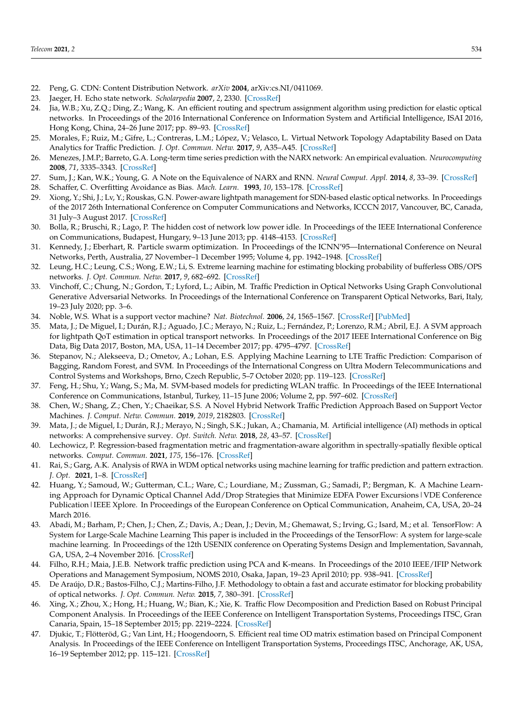- <span id="page-16-0"></span>22. Peng, G. CDN: Content Distribution Network. *arXiv* **2004**, arXiv:cs.NI/0411069.
- <span id="page-16-1"></span>23. Jaeger, H. Echo state network. *Scholarpedia* **2007**, *2*, 2330. [\[CrossRef\]](http://dx.doi.org/10.4249/scholarpedia.2330)
- <span id="page-16-2"></span>24. Jia, W.B.; Xu, Z.Q.; Ding, Z.; Wang, K. An efficient routing and spectrum assignment algorithm using prediction for elastic optical networks. In Proceedings of the 2016 International Conference on Information System and Artificial Intelligence, ISAI 2016, Hong Kong, China, 24–26 June 2017; pp. 89–93. [\[CrossRef\]](http://dx.doi.org/10.1109/ISAI.2016.0028)
- <span id="page-16-3"></span>25. Morales, F.; Ruiz, M.; Gifre, L.; Contreras, L.M.; López, V.; Velasco, L. Virtual Network Topology Adaptability Based on Data Analytics for Traffic Prediction. *J. Opt. Commun. Netw.* **2017**, *9*, A35–A45. [\[CrossRef\]](http://dx.doi.org/10.1364/JOCN.9.000A35)
- <span id="page-16-4"></span>26. Menezes, J.M.P.; Barreto, G.A. Long-term time series prediction with the NARX network: An empirical evaluation. *Neurocomputing* **2008**, *71*, 3335–3343. [\[CrossRef\]](http://dx.doi.org/10.1016/j.neucom.2008.01.030)
- <span id="page-16-5"></span>27. Sum, J.; Kan, W.K.; Young, G. A Note on the Equivalence of NARX and RNN. *Neural Comput. Appl.* **2014**, *8*, 33–39. [\[CrossRef\]](http://dx.doi.org/10.1007/s005210050005)
- <span id="page-16-6"></span>28. Schaffer, C. Overfitting Avoidance as Bias. *Mach. Learn.* **1993**, *10*, 153–178. [\[CrossRef\]](http://dx.doi.org/10.1007/BF00993504)
- <span id="page-16-7"></span>29. Xiong, Y.; Shi, J.; Lv, Y.; Rouskas, G.N. Power-aware lightpath management for SDN-based elastic optical networks. In Proceedings of the 2017 26th International Conference on Computer Communications and Networks, ICCCN 2017, Vancouver, BC, Canada, 31 July–3 August 2017. [\[CrossRef\]](http://dx.doi.org/10.1109/ICCCN.2017.8038398)
- <span id="page-16-8"></span>30. Bolla, R.; Bruschi, R.; Lago, P. The hidden cost of network low power idle. In Proceedings of the IEEE International Conference on Communications, Budapest, Hungary, 9–13 June 2013; pp. 4148–4153. [\[CrossRef\]](http://dx.doi.org/10.1109/ICC.2013.6655212)
- <span id="page-16-9"></span>31. Kennedy, J.; Eberhart, R. Particle swarm optimization. In Proceedings of the ICNN'95—International Conference on Neural Networks, Perth, Australia, 27 November–1 December 1995; Volume 4, pp. 1942–1948. [\[CrossRef\]](http://dx.doi.org/10.1109/ICNN.1995.488968)
- <span id="page-16-10"></span>32. Leung, H.C.; Leung, C.S.; Wong, E.W.; Li, S. Extreme learning machine for estimating blocking probability of bufferless OBS/OPS networks. *J. Opt. Commun. Netw.* **2017**, *9*, 682–692. [\[CrossRef\]](http://dx.doi.org/10.1364/JOCN.9.000682)
- <span id="page-16-11"></span>33. Vinchoff, C.; Chung, N.; Gordon, T.; Lyford, L.; Aibin, M. Traffic Prediction in Optical Networks Using Graph Convolutional Generative Adversarial Networks. In Proceedings of the International Conference on Transparent Optical Networks, Bari, Italy, 19–23 July 2020; pp. 3–6.
- <span id="page-16-12"></span>34. Noble, W.S. What is a support vector machine? *Nat. Biotechnol.* **2006**, *24*, 1565–1567. [\[CrossRef\]](http://dx.doi.org/10.1038/nbt1206-1565) [\[PubMed\]](http://www.ncbi.nlm.nih.gov/pubmed/17160063)
- <span id="page-16-13"></span>35. Mata, J.; De Miguel, I.; Durán, R.J.; Aguado, J.C.; Merayo, N.; Ruiz, L.; Fernández, P.; Lorenzo, R.M.; Abril, E.J. A SVM approach for lightpath QoT estimation in optical transport networks. In Proceedings of the 2017 IEEE International Conference on Big Data, Big Data 2017, Boston, MA, USA, 11–14 December 2017; pp. 4795–4797. [\[CrossRef\]](http://dx.doi.org/10.1109/BIGDATA.2017.8258545)
- <span id="page-16-14"></span>36. Stepanov, N.; Alekseeva, D.; Ometov, A.; Lohan, E.S. Applying Machine Learning to LTE Traffic Prediction: Comparison of Bagging, Random Forest, and SVM. In Proceedings of the International Congress on Ultra Modern Telecommunications and Control Systems and Workshops, Brno, Czech Republic, 5–7 October 2020; pp. 119–123. [\[CrossRef\]](http://dx.doi.org/10.1109/ICUMT51630.2020.9222418)
- <span id="page-16-15"></span>37. Feng, H.; Shu, Y.; Wang, S.; Ma, M. SVM-based models for predicting WLAN traffic. In Proceedings of the IEEE International Conference on Communications, Istanbul, Turkey, 11–15 June 2006; Volume 2, pp. 597–602. [\[CrossRef\]](http://dx.doi.org/10.1109/ICC.2006.254860)
- <span id="page-16-16"></span>38. Chen, W.; Shang, Z.; Chen, Y.; Chaeikar, S.S. A Novel Hybrid Network Traffic Prediction Approach Based on Support Vector Machines. *J. Comput. Netw. Commun.* **2019**, *2019*, 2182803. [\[CrossRef\]](http://dx.doi.org/10.1155/2019/2182803)
- <span id="page-16-17"></span>39. Mata, J.; de Miguel, I.; Durán, R.J.; Merayo, N.; Singh, S.K.; Jukan, A.; Chamania, M. Artificial intelligence (AI) methods in optical networks: A comprehensive survey. *Opt. Switch. Netw.* **2018**, *28*, 43–57. [\[CrossRef\]](http://dx.doi.org/10.1016/j.osn.2017.12.006)
- <span id="page-16-18"></span>40. Lechowicz, P. Regression-based fragmentation metric and fragmentation-aware algorithm in spectrally-spatially flexible optical networks. *Comput. Commun.* **2021**, *175*, 156–176. [\[CrossRef\]](http://dx.doi.org/10.1016/j.comcom.2021.05.012)
- <span id="page-16-19"></span>41. Rai, S.; Garg, A.K. Analysis of RWA in WDM optical networks using machine learning for traffic prediction and pattern extraction. *J. Opt.* **2021**, 1–8. [\[CrossRef\]](http://dx.doi.org/10.1007/s12596-021-00735-6)
- <span id="page-16-20"></span>42. Huang, Y.; Samoud, W.; Gutterman, C.L.; Ware, C.; Lourdiane, M.; Zussman, G.; Samadi, P.; Bergman, K. A Machine Learning Approach for Dynamic Optical Channel Add/Drop Strategies that Minimize EDFA Power Excursions|VDE Conference Publication | IEEE Xplore. In Proceedings of the European Conference on Optical Communication, Anaheim, CA, USA, 20–24 March 2016.
- <span id="page-16-21"></span>43. Abadi, M.; Barham, P.; Chen, J.; Chen, Z.; Davis, A.; Dean, J.; Devin, M.; Ghemawat, S.; Irving, G.; Isard, M.; et al. TensorFlow: A System for Large-Scale Machine Learning This paper is included in the Proceedings of the TensorFlow: A system for large-scale machine learning. In Proceedings of the 12th USENIX conference on Operating Systems Design and Implementation, Savannah, GA, USA, 2–4 November 2016. [\[CrossRef\]](http://dx.doi.org/10.1126/science.aab4113.4)
- <span id="page-16-22"></span>44. Filho, R.H.; Maia, J.E.B. Network traffic prediction using PCA and K-means. In Proceedings of the 2010 IEEE/IFIP Network Operations and Management Symposium, NOMS 2010, Osaka, Japan, 19–23 April 2010; pp. 938–941. [\[CrossRef\]](http://dx.doi.org/10.1109/NOMS.2010.5488338)
- <span id="page-16-23"></span>45. De Araújo, D.R.; Bastos-Filho, C.J.; Martins-Filho, J.F. Methodology to obtain a fast and accurate estimator for blocking probability of optical networks. *J. Opt. Commun. Netw.* **2015**, *7*, 380–391. [\[CrossRef\]](http://dx.doi.org/10.1364/JOCN.7.000380)
- <span id="page-16-24"></span>46. Xing, X.; Zhou, X.; Hong, H.; Huang, W.; Bian, K.; Xie, K. Traffic Flow Decomposition and Prediction Based on Robust Principal Component Analysis. In Proceedings of the IEEE Conference on Intelligent Transportation Systems, Proceedings ITSC, Gran Canaria, Spain, 15–18 September 2015; pp. 2219–2224. [\[CrossRef\]](http://dx.doi.org/10.1109/ITSC.2015.358)
- <span id="page-16-25"></span>47. Djukic, T.; Flötteröd, G.; Van Lint, H.; Hoogendoorn, S. Efficient real time OD matrix estimation based on Principal Component Analysis. In Proceedings of the IEEE Conference on Intelligent Transportation Systems, Proceedings ITSC, Anchorage, AK, USA, 16–19 September 2012; pp. 115–121. [\[CrossRef\]](http://dx.doi.org/10.1109/ITSC.2012.6338720)